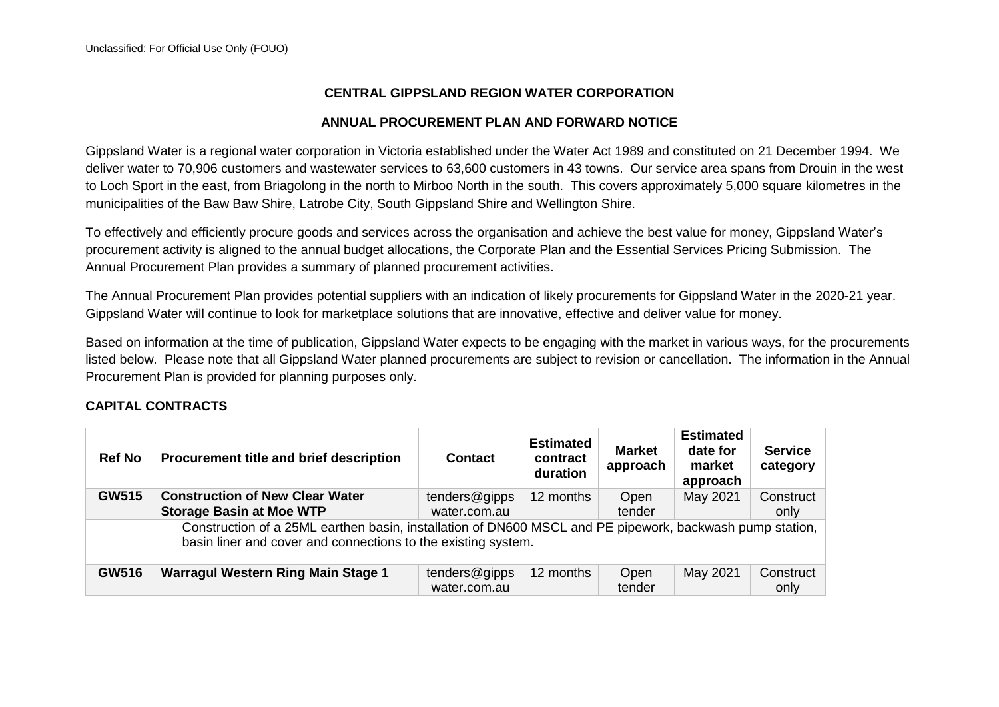## **CENTRAL GIPPSLAND REGION WATER CORPORATION**

## **ANNUAL PROCUREMENT PLAN AND FORWARD NOTICE**

Gippsland Water is a regional water corporation in Victoria established under the Water Act 1989 and constituted on 21 December 1994. We deliver water to 70,906 customers and wastewater services to 63,600 customers in 43 towns. Our service area spans from Drouin in the west to Loch Sport in the east, from Briagolong in the north to Mirboo North in the south. This covers approximately 5,000 square kilometres in the municipalities of the Baw Baw Shire, Latrobe City, South Gippsland Shire and Wellington Shire.

To effectively and efficiently procure goods and services across the organisation and achieve the best value for money, Gippsland Water's procurement activity is aligned to the annual budget allocations, the Corporate Plan and the Essential Services Pricing Submission. The Annual Procurement Plan provides a summary of planned procurement activities.

The Annual Procurement Plan provides potential suppliers with an indication of likely procurements for Gippsland Water in the 2020-21 year. Gippsland Water will continue to look for marketplace solutions that are innovative, effective and deliver value for money.

Based on information at the time of publication, Gippsland Water expects to be engaging with the market in various ways, for the procurements listed below. Please note that all Gippsland Water planned procurements are subject to revision or cancellation. The information in the Annual Procurement Plan is provided for planning purposes only.

## **CAPITAL CONTRACTS**

| <b>Ref No</b> | Procurement title and brief description                                                                                                                                   | <b>Contact</b>                | <b>Estimated</b><br>contract<br>duration | <b>Market</b><br>approach | <b>Estimated</b><br>date for<br>market<br>approach | <b>Service</b><br>category |  |
|---------------|---------------------------------------------------------------------------------------------------------------------------------------------------------------------------|-------------------------------|------------------------------------------|---------------------------|----------------------------------------------------|----------------------------|--|
| <b>GW515</b>  | <b>Construction of New Clear Water</b><br><b>Storage Basin at Moe WTP</b>                                                                                                 | tenders@gipps<br>water.com.au | 12 months                                | Open<br>tender            | May 2021                                           | Construct<br>only          |  |
|               | Construction of a 25ML earthen basin, installation of DN600 MSCL and PE pipework, backwash pump station,<br>basin liner and cover and connections to the existing system. |                               |                                          |                           |                                                    |                            |  |
| <b>GW516</b>  | <b>Warragul Western Ring Main Stage 1</b>                                                                                                                                 | tenders@gipps<br>water.com.au | 12 months                                | Open<br>tender            | May 2021                                           | Construct<br>only          |  |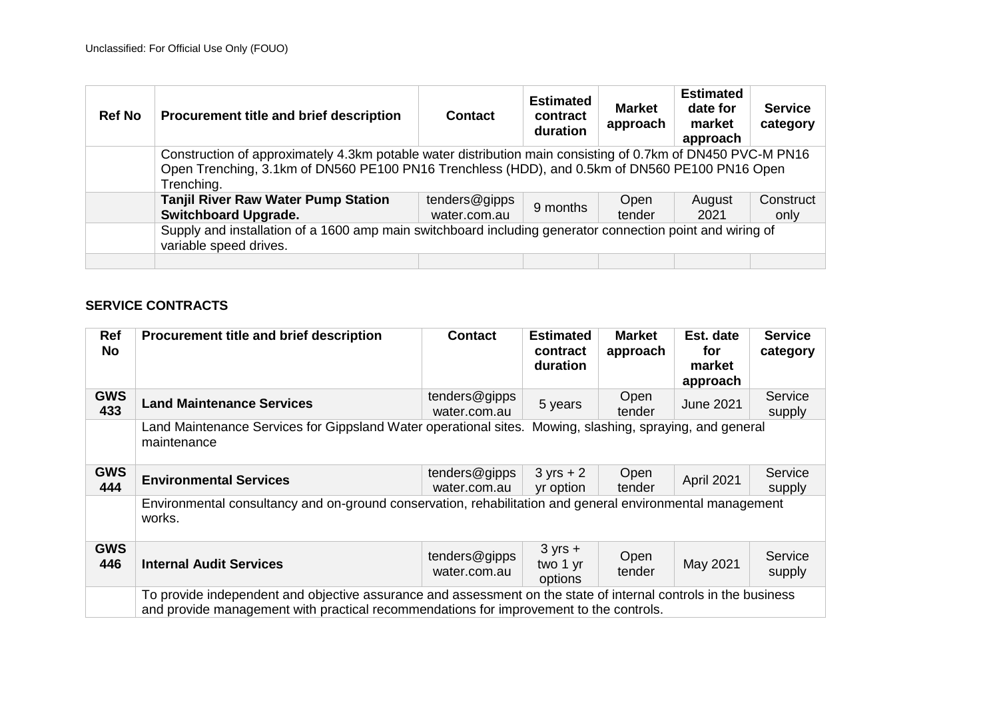| <b>Ref No</b> | Procurement title and brief description                                                                                                                                                                                     | <b>Contact</b>                | <b>Estimated</b><br>contract<br>duration | <b>Market</b><br>approach | <b>Estimated</b><br>date for<br>market<br>approach | <b>Service</b><br>category |  |
|---------------|-----------------------------------------------------------------------------------------------------------------------------------------------------------------------------------------------------------------------------|-------------------------------|------------------------------------------|---------------------------|----------------------------------------------------|----------------------------|--|
|               | Construction of approximately 4.3km potable water distribution main consisting of 0.7km of DN450 PVC-M PN16<br>Open Trenching, 3.1km of DN560 PE100 PN16 Trenchless (HDD), and 0.5km of DN560 PE100 PN16 Open<br>Trenching. |                               |                                          |                           |                                                    |                            |  |
|               | <b>Tanjil River Raw Water Pump Station</b><br><b>Switchboard Upgrade.</b>                                                                                                                                                   | tenders@gipps<br>water.com.au | 9 months                                 | Open<br>tender            | August<br>2021                                     | Construct<br>only          |  |
|               | Supply and installation of a 1600 amp main switchboard including generator connection point and wiring of<br>variable speed drives.                                                                                         |                               |                                          |                           |                                                    |                            |  |
|               |                                                                                                                                                                                                                             |                               |                                          |                           |                                                    |                            |  |

## **SERVICE CONTRACTS**

| Ref<br><b>No</b>  | Procurement title and brief description                                                                                                                                                                   | <b>Contact</b>                | <b>Estimated</b><br>contract<br>duration | <b>Market</b><br>approach | Est. date<br>for<br>market<br>approach  | <b>Service</b><br>category |
|-------------------|-----------------------------------------------------------------------------------------------------------------------------------------------------------------------------------------------------------|-------------------------------|------------------------------------------|---------------------------|-----------------------------------------|----------------------------|
| <b>GWS</b><br>433 | <b>Land Maintenance Services</b>                                                                                                                                                                          | tenders@gipps<br>water.com.au | 5 years                                  | Open<br>tender            | <b>June 2021</b>                        | Service<br>supply          |
|                   | Land Maintenance Services for Gippsland Water operational sites.<br>maintenance                                                                                                                           |                               |                                          |                           | Mowing, slashing, spraying, and general |                            |
| <b>GWS</b><br>444 | <b>Environmental Services</b>                                                                                                                                                                             | tenders@gipps<br>water.com.au | $3 yrs + 2$<br>yr option                 | Open<br>tender            | April 2021                              | Service<br>supply          |
|                   | Environmental consultancy and on-ground conservation, rehabilitation and general environmental management<br>works.                                                                                       |                               |                                          |                           |                                         |                            |
| <b>GWS</b><br>446 | <b>Internal Audit Services</b>                                                                                                                                                                            | tenders@gipps<br>water.com.au | $3 yrs +$<br>two 1 yr<br>options         | Open<br>tender            | May 2021                                | Service<br>supply          |
|                   | To provide independent and objective assurance and assessment on the state of internal controls in the business<br>and provide management with practical recommendations for improvement to the controls. |                               |                                          |                           |                                         |                            |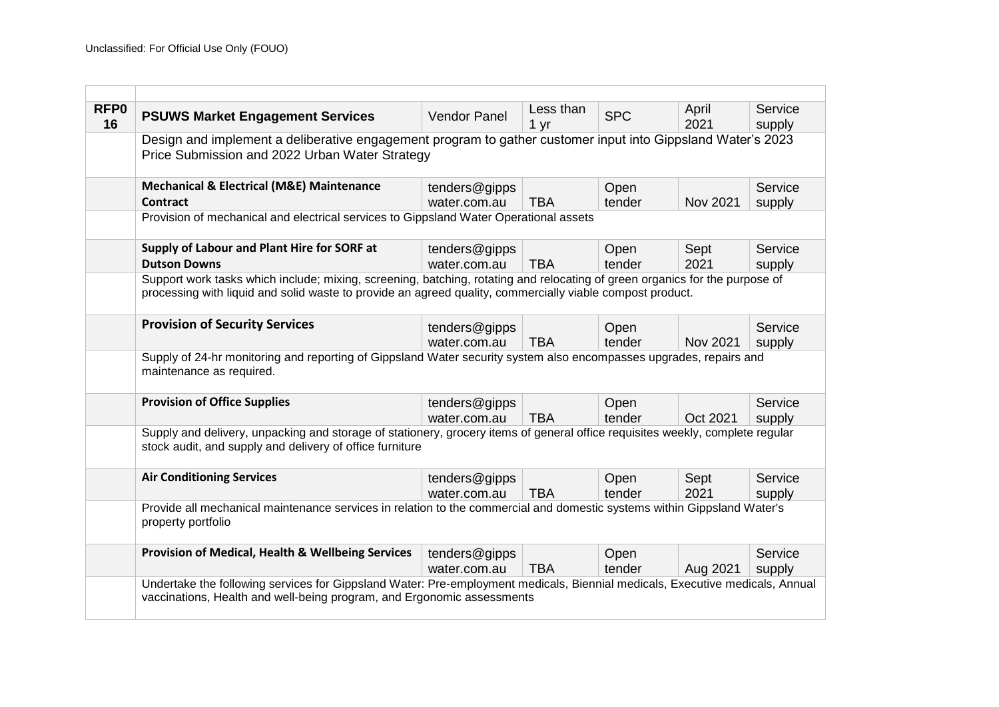| RFP <sub>0</sub><br>16 | <b>PSUWS Market Engagement Services</b>                                                                                                                                                                                                  | <b>Vendor Panel</b>           | Less than<br>1 yr | <b>SPC</b>     | April<br>2021 | Service<br>supply |  |
|------------------------|------------------------------------------------------------------------------------------------------------------------------------------------------------------------------------------------------------------------------------------|-------------------------------|-------------------|----------------|---------------|-------------------|--|
|                        | Design and implement a deliberative engagement program to gather customer input into Gippsland Water's 2023<br>Price Submission and 2022 Urban Water Strategy                                                                            |                               |                   |                |               |                   |  |
|                        | <b>Mechanical &amp; Electrical (M&amp;E) Maintenance</b><br>Contract                                                                                                                                                                     | tenders@gipps<br>water.com.au | <b>TBA</b>        | Open<br>tender | Nov 2021      | Service<br>supply |  |
|                        | Provision of mechanical and electrical services to Gippsland Water Operational assets                                                                                                                                                    |                               |                   |                |               |                   |  |
|                        | Supply of Labour and Plant Hire for SORF at<br><b>Dutson Downs</b>                                                                                                                                                                       | tenders@gipps<br>water.com.au | <b>TBA</b>        | Open<br>tender | Sept<br>2021  | Service<br>supply |  |
|                        | Support work tasks which include; mixing, screening, batching, rotating and relocating of green organics for the purpose of<br>processing with liquid and solid waste to provide an agreed quality, commercially viable compost product. |                               |                   |                |               |                   |  |
|                        | <b>Provision of Security Services</b>                                                                                                                                                                                                    | tenders@gipps<br>water.com.au | <b>TBA</b>        | Open<br>tender | Nov 2021      | Service<br>supply |  |
|                        | Supply of 24-hr monitoring and reporting of Gippsland Water security system also encompasses upgrades, repairs and<br>maintenance as required.                                                                                           |                               |                   |                |               |                   |  |
|                        | <b>Provision of Office Supplies</b>                                                                                                                                                                                                      | tenders@gipps<br>water.com.au | <b>TBA</b>        | Open<br>tender | Oct 2021      | Service<br>supply |  |
|                        | Supply and delivery, unpacking and storage of stationery, grocery items of general office requisites weekly, complete regular<br>stock audit, and supply and delivery of office furniture                                                |                               |                   |                |               |                   |  |
|                        | <b>Air Conditioning Services</b>                                                                                                                                                                                                         | tenders@gipps<br>water.com.au | <b>TBA</b>        | Open<br>tender | Sept<br>2021  | Service<br>supply |  |
|                        | Provide all mechanical maintenance services in relation to the commercial and domestic systems within Gippsland Water's<br>property portfolio                                                                                            |                               |                   |                |               |                   |  |
|                        | <b>Provision of Medical, Health &amp; Wellbeing Services</b>                                                                                                                                                                             | tenders@gipps<br>water.com.au | <b>TBA</b>        | Open<br>tender | Aug 2021      | Service<br>supply |  |
|                        | Undertake the following services for Gippsland Water: Pre-employment medicals, Biennial medicals, Executive medicals, Annual<br>vaccinations, Health and well-being program, and Ergonomic assessments                                   |                               |                   |                |               |                   |  |